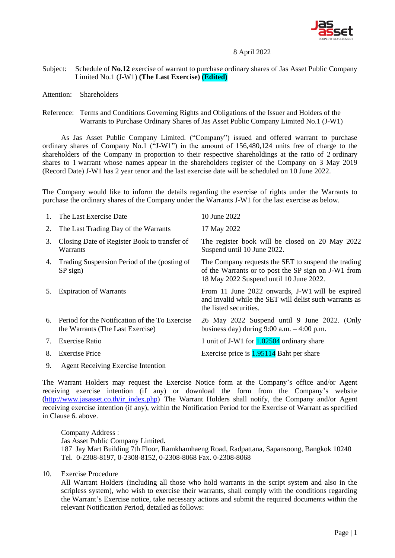

## 8 April 2022

- Subject: Schedule of **No.12** exercise of warrant to purchase ordinary shares of Jas Asset Public Company Limited No.1 (J-W1) **(The Last Exercise) (Edited)**
- Attention: Shareholders
- Reference: Terms and Conditions Governing Rights and Obligations of the Issuer and Holders of the Warrants to Purchase Ordinary Shares of Jas Asset Public Company Limited No.1 (J-W1)

As Jas Asset Public Company Limited. ("Company") issued and offered warrant to purchase ordinary shares of Company No.1 ("J-W1") in the amount of 156,480,124 units free of charge to the shareholders of the Company in proportion to their respective shareholdings at the ratio of 2 ordinary shares to 1 warrant whose names appear in the shareholders register of the Company on 3 May 2019 (Record Date) J-W1 has 2 year tenor and the last exercise date will be scheduled on 10 June 2022.

The Company would like to inform the details regarding the exercise of rights under the Warrants to purchase the ordinary shares of the Company under the Warrants J-W1 for the last exercise as below.

| $1_{\cdot}$ | The Last Exercise Date                                                                | 10 June 2022                                                                                                                                          |
|-------------|---------------------------------------------------------------------------------------|-------------------------------------------------------------------------------------------------------------------------------------------------------|
| 2.          | The Last Trading Day of the Warrants                                                  | 17 May 2022                                                                                                                                           |
| 3.          | Closing Date of Register Book to transfer of<br>Warrants                              | The register book will be closed on 20 May 2022<br>Suspend until 10 June 2022.                                                                        |
|             | 4. Trading Suspension Period of the (posting of<br>$SP$ sign)                         | The Company requests the SET to suspend the trading<br>of the Warrants or to post the SP sign on J-W1 from<br>18 May 2022 Suspend until 10 June 2022. |
| 5.          | <b>Expiration of Warrants</b>                                                         | From 11 June 2022 onwards, J-W1 will be expired<br>and invalid while the SET will delist such warrants as<br>the listed securities.                   |
|             | 6. Period for the Notification of the To Exercise<br>the Warrants (The Last Exercise) | 26 May 2022 Suspend until 9 June 2022. (Only<br>business day) during $9:00$ a.m. $-4:00$ p.m.                                                         |
| 7.          | <b>Exercise Ratio</b>                                                                 | 1 unit of J-W1 for 1.02504 ordinary share                                                                                                             |
| 8.          | <b>Exercise Price</b>                                                                 | Exercise price is $1.95114$ Baht per share                                                                                                            |
| 9.          | <b>Agent Receiving Exercise Intention</b>                                             |                                                                                                                                                       |

The Warrant Holders may request the Exercise Notice form at the Company's office and/or Agent receiving exercise intention (if any) or download the form from the Company's website [\(http://www.jasasset.co.th/ir\\_index.php\)](http://www.jasasset.co.th/ir_index.php) The Warrant Holders shall notify, the Company and/or Agent receiving exercise intention (if any), within the Notification Period for the Exercise of Warrant as specified in Clause 6. above.

Company Address : Jas Asset Public Company Limited. 187 Jay Mart Building 7th Floor, Ramkhamhaeng Road, Radpattana, Sapansoong, Bangkok 10240 Tel. 0-2308-8197, 0-2308-8152, 0-2308-8068 Fax. 0-2308-8068

10. Exercise Procedure

All Warrant Holders (including all those who hold warrants in the script system and also in the scripless system), who wish to exercise their warrants, shall comply with the conditions regarding the Warrant's Exercise notice, take necessary actions and submit the required documents within the relevant Notification Period, detailed as follows: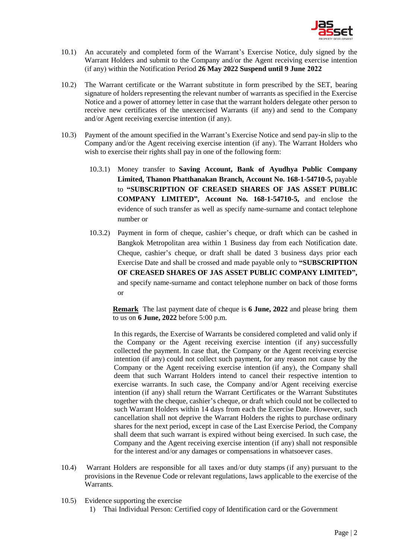

- 10.1) An accurately and completed form of the Warrant's Exercise Notice, duly signed by the Warrant Holders and submit to the Company and/or the Agent receiving exercise intention (if any) within the Notification Period **26 May 2022 Suspend until 9 June 2022**
- 10.2) The Warrant certificate or the Warrant substitute in form prescribed by the SET, bearing signature of holders representing the relevant number of warrants as specified in the Exercise Notice and a power of attorney letter in case that the warrant holders delegate other person to receive new certificates of the unexercised Warrants (if any) and send to the Company and/or Agent receiving exercise intention (if any).
- 10.3) Payment of the amount specified in the Warrant's Exercise Notice and send pay-in slip to the Company and/or the Agent receiving exercise intention (if any). The Warrant Holders who wish to exercise their rights shall pay in one of the following form:
	- 10.3.1) Money transfer to **Saving Account, Bank of Ayudhya Public Company Limited, Thanon Phatthanakan Branch, Account No. 168-1-54710-5,** payable to **"SUBSCRIPTION OF CREASED SHARES OF JAS ASSET PUBLIC COMPANY LIMITED", Account No. 168-1-54710-5,** and enclose the evidence of such transfer as well as specify name-surname and contact telephone number or
	- 10.3.2) Payment in form of cheque, cashier's cheque, or draft which can be cashed in Bangkok Metropolitan area within 1 Business day from each Notification date. Cheque, cashier's cheque, or draft shall be dated 3 business days prior each Exercise Date and shall be crossed and made payable only to **"SUBSCRIPTION OF CREASED SHARES OF JAS ASSET PUBLIC COMPANY LIMITED",**  and specify name-surname and contact telephone number on back of those forms or

**Remark** The last payment date of cheque is **6 June, 2022** and please bring them to us on **6 June, 2022** before 5:00 p.m.

In this regards, the Exercise of Warrants be considered completed and valid only if the Company or the Agent receiving exercise intention (if any) successfully collected the payment. In case that, the Company or the Agent receiving exercise intention (if any) could not collect such payment, for any reason not cause by the Company or the Agent receiving exercise intention (if any), the Company shall deem that such Warrant Holders intend to cancel their respective intention to exercise warrants. In such case, the Company and/or Agent receiving exercise intention (if any) shall return the Warrant Certificates or the Warrant Substitutes together with the cheque, cashier's cheque, or draft which could not be collected to such Warrant Holders within 14 days from each the Exercise Date. However, such cancellation shall not deprive the Warrant Holders the rights to purchase ordinary shares for the next period, except in case of the Last Exercise Period, the Company shall deem that such warrant is expired without being exercised. In such case, the Company and the Agent receiving exercise intention (if any) shall not responsible for the interest and/or any damages or compensations in whatsoever cases.

- 10.4) Warrant Holders are responsible for all taxes and/or duty stamps (if any) pursuant to the provisions in the Revenue Code or relevant regulations, laws applicable to the exercise of the Warrants.
- 10.5) Evidence supporting the exercise
	- 1) Thai Individual Person: Certified copy of Identification card or the Government